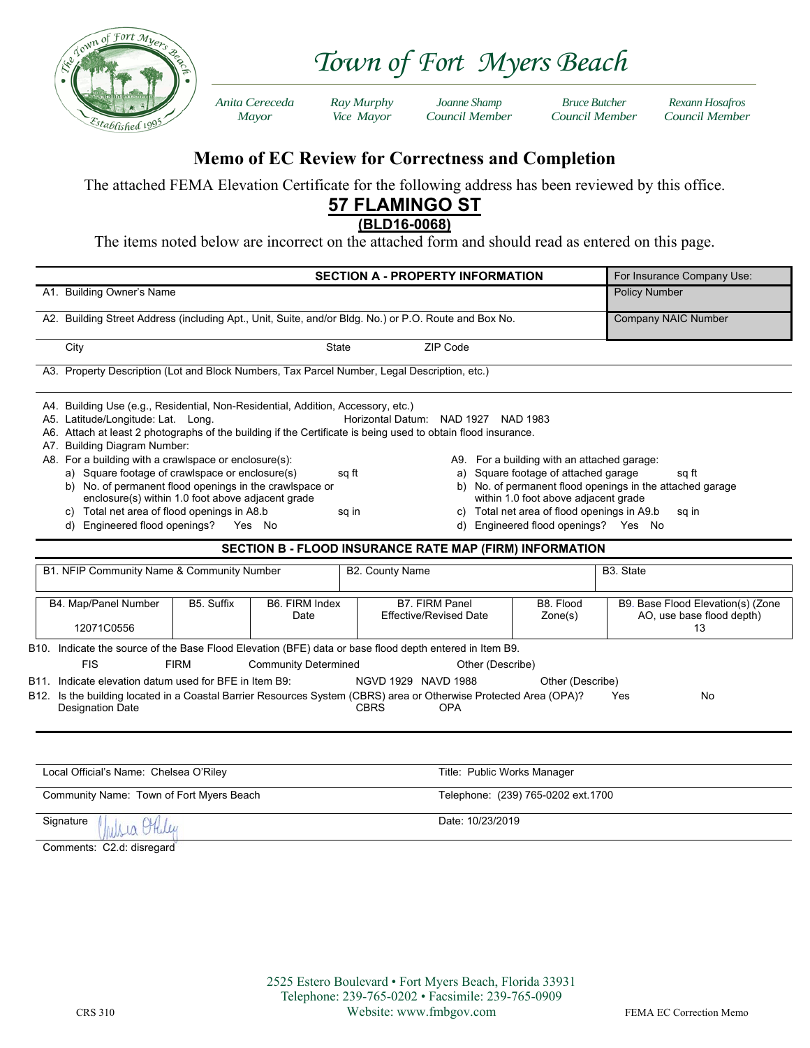

*Town of Fort Myers Beach* 

 *Anita Cereceda Ray Murphy Joanne Shamp Bruce Butcher Rexann Hosafros Mayor Vice Mayor Council Member Council Member Council Member*

## **Memo of EC Review for Correctness and Completion**

The attached FEMA Elevation Certificate for the following address has been reviewed by this office.

## **57 FLAMINGO ST**

**(BLD16-0068)** 

The items noted below are incorrect on the attached form and should read as entered on this page.

| <b>SECTION A - PROPERTY INFORMATION</b>                                                                                                                                                                                                                                                                                                                                                                                                                                                                                                                                                                                                                                                                                                                                                                                                                                                | For Insurance Company Use:                                                  |
|----------------------------------------------------------------------------------------------------------------------------------------------------------------------------------------------------------------------------------------------------------------------------------------------------------------------------------------------------------------------------------------------------------------------------------------------------------------------------------------------------------------------------------------------------------------------------------------------------------------------------------------------------------------------------------------------------------------------------------------------------------------------------------------------------------------------------------------------------------------------------------------|-----------------------------------------------------------------------------|
| A1. Building Owner's Name                                                                                                                                                                                                                                                                                                                                                                                                                                                                                                                                                                                                                                                                                                                                                                                                                                                              | <b>Policy Number</b>                                                        |
| A2. Building Street Address (including Apt., Unit, Suite, and/or Bldg. No.) or P.O. Route and Box No.                                                                                                                                                                                                                                                                                                                                                                                                                                                                                                                                                                                                                                                                                                                                                                                  | Company NAIC Number                                                         |
| ZIP Code<br>City<br><b>State</b>                                                                                                                                                                                                                                                                                                                                                                                                                                                                                                                                                                                                                                                                                                                                                                                                                                                       |                                                                             |
| A3. Property Description (Lot and Block Numbers, Tax Parcel Number, Legal Description, etc.)                                                                                                                                                                                                                                                                                                                                                                                                                                                                                                                                                                                                                                                                                                                                                                                           |                                                                             |
| A4. Building Use (e.g., Residential, Non-Residential, Addition, Accessory, etc.)<br>A5. Latitude/Longitude: Lat. Long.<br>Horizontal Datum: NAD 1927 NAD 1983<br>A6. Attach at least 2 photographs of the building if the Certificate is being used to obtain flood insurance.<br><b>Building Diagram Number:</b><br>A7.<br>A8. For a building with a crawlspace or enclosure(s):<br>A9. For a building with an attached garage:<br>a) Square footage of crawlspace or enclosure(s)<br>a) Square footage of attached garage<br>sq ft<br>b) No. of permanent flood openings in the crawlspace or<br>enclosure(s) within 1.0 foot above adjacent grade<br>within 1.0 foot above adjacent grade<br>c) Total net area of flood openings in A8.b<br>Total net area of flood openings in A9.b<br>sq in<br>C)<br>d) Engineered flood openings? Yes No<br>d) Engineered flood openings? Yes No | sq ft<br>b) No. of permanent flood openings in the attached garage<br>sq in |
| <b>SECTION B - FLOOD INSURANCE RATE MAP (FIRM) INFORMATION</b>                                                                                                                                                                                                                                                                                                                                                                                                                                                                                                                                                                                                                                                                                                                                                                                                                         |                                                                             |
| B1. NFIP Community Name & Community Number<br><b>B2. County Name</b>                                                                                                                                                                                                                                                                                                                                                                                                                                                                                                                                                                                                                                                                                                                                                                                                                   | B <sub>3</sub> . State                                                      |
| <b>B7. FIRM Panel</b><br>B5. Suffix<br>B6. FIRM Index<br>B8. Flood<br>B4. Map/Panel Number<br><b>Effective/Revised Date</b><br>Zone(s)<br>Date<br>12071C0556                                                                                                                                                                                                                                                                                                                                                                                                                                                                                                                                                                                                                                                                                                                           | B9. Base Flood Elevation(s) (Zone<br>AO, use base flood depth)<br>13        |
| B10. Indicate the source of the Base Flood Elevation (BFE) data or base flood depth entered in Item B9.<br><b>FIS</b><br><b>FIRM</b><br><b>Community Determined</b><br>Other (Describe)<br>B11. Indicate elevation datum used for BFE in Item B9:<br>NGVD 1929 NAVD 1988<br>Other (Describe)<br>B12. Is the building located in a Coastal Barrier Resources System (CBRS) area or Otherwise Protected Area (OPA)?<br><b>CBRS</b><br><b>Designation Date</b><br><b>OPA</b>                                                                                                                                                                                                                                                                                                                                                                                                              | <b>Yes</b><br>No                                                            |
| Local Official's Name: Chelsea O'Riley<br>Title: Public Works Manager                                                                                                                                                                                                                                                                                                                                                                                                                                                                                                                                                                                                                                                                                                                                                                                                                  |                                                                             |

Community Name: Town of Fort Myers Beach Telephone: (239) 765-0202 ext.1700

Signature **Date:** 10/23/2019

Comments: C2.d: disregard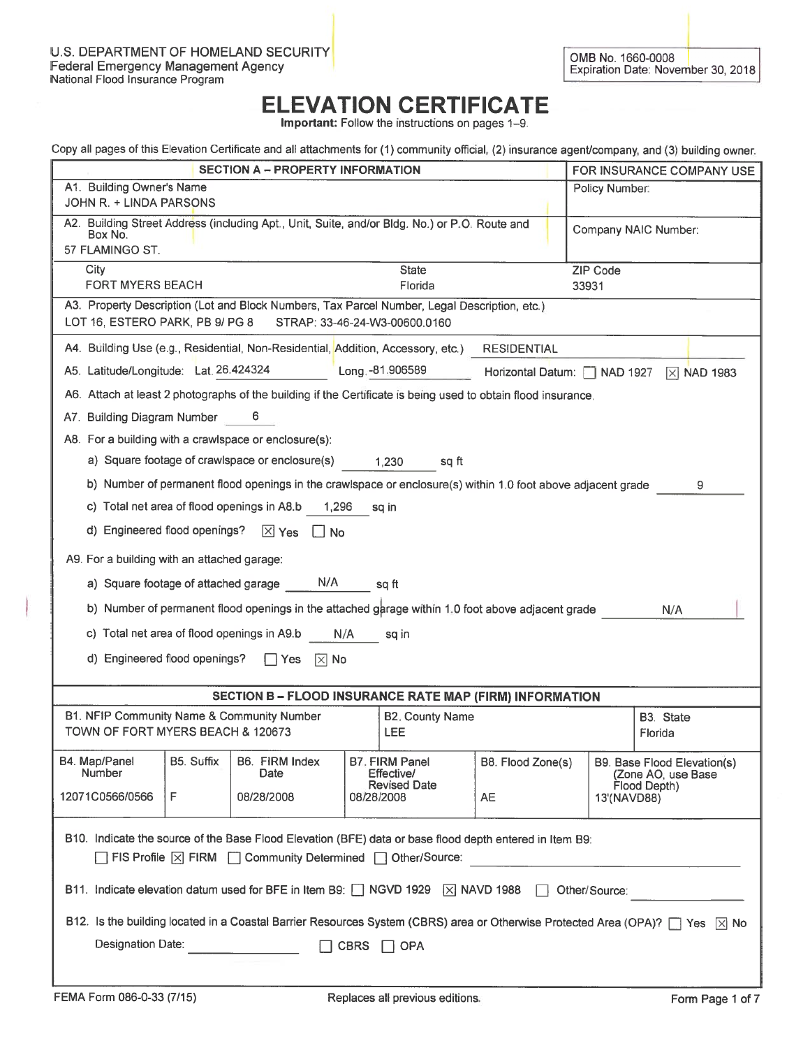Important: Follow the instructions on pages 1-9.

| Copy all pages of this Elevation Certificate and all attachments for (1) community official, (2) insurance agent/company, and (3) building owner. |                                                                                                                                |                                                            |                              |                 |                                                                   |
|---------------------------------------------------------------------------------------------------------------------------------------------------|--------------------------------------------------------------------------------------------------------------------------------|------------------------------------------------------------|------------------------------|-----------------|-------------------------------------------------------------------|
|                                                                                                                                                   | <b>SECTION A - PROPERTY INFORMATION</b>                                                                                        |                                                            |                              |                 | FOR INSURANCE COMPANY USE                                         |
| A1. Building Owner's Name<br>JOHN R. + LINDA PARSONS                                                                                              |                                                                                                                                |                                                            |                              | Policy Number:  |                                                                   |
| Box No.<br>57 FLAMINGO ST.                                                                                                                        | A2. Building Street Address (including Apt., Unit, Suite, and/or Bldg. No.) or P.O. Route and                                  |                                                            |                              |                 | Company NAIC Number:                                              |
| City                                                                                                                                              |                                                                                                                                | <b>State</b>                                               |                              | <b>ZIP Code</b> |                                                                   |
| <b>FORT MYERS BEACH</b><br>A3. Property Description (Lot and Block Numbers, Tax Parcel Number, Legal Description, etc.)                           |                                                                                                                                | Florida                                                    |                              | 33931           |                                                                   |
| LOT 16, ESTERO PARK, PB 9/ PG 8                                                                                                                   | STRAP: 33-46-24-W3-00600.0160                                                                                                  |                                                            |                              |                 |                                                                   |
| A4. Building Use (e.g., Residential, Non-Residential, Addition, Accessory, etc.)                                                                  |                                                                                                                                |                                                            | <b>RESIDENTIAL</b>           |                 |                                                                   |
| A5. Latitude/Longitude: Lat. 26.424324                                                                                                            |                                                                                                                                | Long. -81.906589                                           | Horizontal Datum:   NAD 1927 |                 | $\overline{X}$ NAD 1983                                           |
| A6. Attach at least 2 photographs of the building if the Certificate is being used to obtain flood insurance.                                     |                                                                                                                                |                                                            |                              |                 |                                                                   |
| A7. Building Diagram Number                                                                                                                       | 6                                                                                                                              |                                                            |                              |                 |                                                                   |
| A8. For a building with a crawlspace or enclosure(s):                                                                                             |                                                                                                                                |                                                            |                              |                 |                                                                   |
| a) Square footage of crawlspace or enclosure(s)                                                                                                   |                                                                                                                                | 1,230<br>sq ft                                             |                              |                 |                                                                   |
| b) Number of permanent flood openings in the crawlspace or enclosure(s) within 1.0 foot above adjacent grade                                      |                                                                                                                                |                                                            |                              |                 | 9                                                                 |
| c) Total net area of flood openings in A8.b                                                                                                       | 1,296                                                                                                                          | sq in                                                      |                              |                 |                                                                   |
| d) Engineered flood openings?                                                                                                                     | $X$ Yes<br>$\lfloor \cdot \rfloor$ No                                                                                          |                                                            |                              |                 |                                                                   |
| A9. For a building with an attached garage:                                                                                                       |                                                                                                                                |                                                            |                              |                 |                                                                   |
| a) Square footage of attached garage                                                                                                              | N/A                                                                                                                            | sq ft                                                      |                              |                 |                                                                   |
| b) Number of permanent flood openings in the attached garage within 1.0 foot above adjacent grade                                                 |                                                                                                                                |                                                            |                              |                 | N/A                                                               |
| c) Total net area of flood openings in A9.b                                                                                                       | N/A                                                                                                                            | sq in                                                      |                              |                 |                                                                   |
| d) Engineered flood openings?                                                                                                                     | l Yes<br>$ \times $ No                                                                                                         |                                                            |                              |                 |                                                                   |
|                                                                                                                                                   | SECTION B - FLOOD INSURANCE RATE MAP (FIRM) INFORMATION                                                                        |                                                            |                              |                 |                                                                   |
| B1. NFIP Community Name & Community Number<br>TOWN OF FORT MYERS BEACH & 120673                                                                   |                                                                                                                                | <b>B2. County Name</b><br><b>LEE</b>                       |                              |                 | B3. State<br>Florida                                              |
| B5. Suffix<br>B4. Map/Panel<br>Number                                                                                                             | B6. FIRM Index<br>Date                                                                                                         | B7. FIRM Panel<br><b>Effective/</b><br><b>Revised Date</b> | B8. Flood Zone(s)            |                 | B9. Base Flood Elevation(s)<br>(Zone AO, use Base<br>Flood Depth) |
| 12071C0566/0566<br>F                                                                                                                              | 08/28/2008                                                                                                                     | 08/28/2008                                                 | <b>AE</b>                    | 13'(NAVD88)     |                                                                   |
| B10. Indicate the source of the Base Flood Elevation (BFE) data or base flood depth entered in Item B9:                                           |                                                                                                                                |                                                            |                              |                 |                                                                   |
| □ FIS Profile   X FIRM   Community Determined   Other/Source:                                                                                     |                                                                                                                                |                                                            |                              |                 |                                                                   |
| B11. Indicate elevation datum used for BFE in Item B9: $\Box$ NGVD 1929 $\Box$ NAVD 1988                                                          |                                                                                                                                |                                                            |                              | Other/Source:   |                                                                   |
|                                                                                                                                                   | B12. Is the building located in a Coastal Barrier Resources System (CBRS) area or Otherwise Protected Area (OPA)?   Yes   X No |                                                            |                              |                 |                                                                   |
| Designation Date:                                                                                                                                 | <b>CBRS</b>                                                                                                                    | <b>OPA</b>                                                 |                              |                 |                                                                   |
|                                                                                                                                                   |                                                                                                                                |                                                            |                              |                 |                                                                   |
|                                                                                                                                                   |                                                                                                                                |                                                            |                              |                 |                                                                   |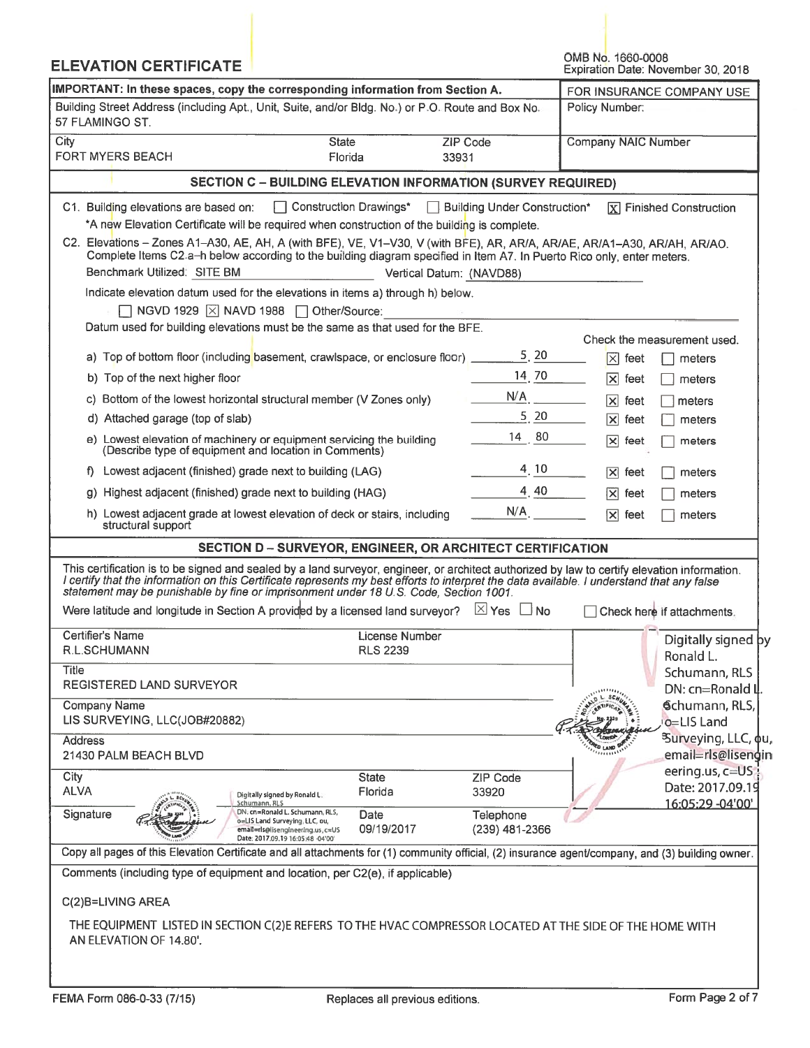| <b>ELEVATION CERTIFICATE</b>                                                                                                                                                                                                                                                                                                                                                        |                                                                                                                                                                   |                              |          | OMB No. 1660-0008                                | Expiration Date: November 30, 2018   |
|-------------------------------------------------------------------------------------------------------------------------------------------------------------------------------------------------------------------------------------------------------------------------------------------------------------------------------------------------------------------------------------|-------------------------------------------------------------------------------------------------------------------------------------------------------------------|------------------------------|----------|--------------------------------------------------|--------------------------------------|
| IMPORTANT: In these spaces, copy the corresponding information from Section A.                                                                                                                                                                                                                                                                                                      |                                                                                                                                                                   |                              |          |                                                  | FOR INSURANCE COMPANY USE            |
| Building Street Address (including Apt., Unit, Suite, and/or Bldg. No.) or P.O. Route and Box No.<br>Policy Number:<br>57 FLAMINGO ST.                                                                                                                                                                                                                                              |                                                                                                                                                                   |                              |          |                                                  |                                      |
| City<br><b>FORT MYERS BEACH</b>                                                                                                                                                                                                                                                                                                                                                     | <b>State</b><br>Florida                                                                                                                                           | <b>ZIP Code</b><br>33931     |          | <b>Company NAIC Number</b>                       |                                      |
|                                                                                                                                                                                                                                                                                                                                                                                     | <b>SECTION C - BUILDING ELEVATION INFORMATION (SURVEY REQUIRED)</b>                                                                                               |                              |          |                                                  |                                      |
| C1. Building elevations are based on:                                                                                                                                                                                                                                                                                                                                               | Construction Drawings*                                                                                                                                            | Building Under Construction* |          |                                                  | $\overline{X}$ Finished Construction |
|                                                                                                                                                                                                                                                                                                                                                                                     | *A new Elevation Certificate will be required when construction of the building is complete.                                                                      |                              |          |                                                  |                                      |
| C2. Elevations - Zones A1-A30, AE, AH, A (with BFE), VE, V1-V30, V (with BFE), AR, AR/A, AR/AE, AR/A1-A30, AR/AH, AR/AO.                                                                                                                                                                                                                                                            | Complete Items C2.a-h below according to the building diagram specified in Item A7. In Puerto Rico only, enter meters.                                            |                              |          |                                                  |                                      |
| Benchmark Utilized: SITE BM                                                                                                                                                                                                                                                                                                                                                         |                                                                                                                                                                   | Vertical Datum: (NAVD88)     |          |                                                  |                                      |
|                                                                                                                                                                                                                                                                                                                                                                                     | Indicate elevation datum used for the elevations in items a) through h) below.                                                                                    |                              |          |                                                  |                                      |
|                                                                                                                                                                                                                                                                                                                                                                                     | NGVD 1929   X NAVD 1988   Other/Source:                                                                                                                           |                              |          |                                                  |                                      |
|                                                                                                                                                                                                                                                                                                                                                                                     | Datum used for building elevations must be the same as that used for the BFE.                                                                                     |                              |          |                                                  | Check the measurement used.          |
|                                                                                                                                                                                                                                                                                                                                                                                     | a) Top of bottom floor (including basement, crawlspace, or enclosure floor) _                                                                                     |                              | 5, 20    | $ \mathsf{x} $<br>feet                           | meters                               |
| b) Top of the next higher floor                                                                                                                                                                                                                                                                                                                                                     |                                                                                                                                                                   |                              | 14 70    | $ \mathsf{x} $<br>feet                           | meters                               |
|                                                                                                                                                                                                                                                                                                                                                                                     | c) Bottom of the lowest horizontal structural member (V Zones only)                                                                                               | N/A                          |          |                                                  |                                      |
| d) Attached garage (top of slab)                                                                                                                                                                                                                                                                                                                                                    |                                                                                                                                                                   |                              | $5 \ 20$ | $ \mathsf{x} $<br>feet<br>$ \mathsf{x} $<br>feet | meters<br>meters                     |
| (Describe type of equipment and location in Comments)                                                                                                                                                                                                                                                                                                                               | e) Lowest elevation of machinery or equipment servicing the building                                                                                              | 14 80                        |          | $\overline{\mathsf{x}}$<br>feet                  | meters                               |
| f) Lowest adjacent (finished) grade next to building (LAG)                                                                                                                                                                                                                                                                                                                          |                                                                                                                                                                   |                              | 4, 10    | $ \mathsf{x} $<br>feet                           | meters                               |
| g) Highest adjacent (finished) grade next to building (HAG)                                                                                                                                                                                                                                                                                                                         |                                                                                                                                                                   |                              | 4, 40    | $ \mathsf{x} $<br>feet                           | meters                               |
|                                                                                                                                                                                                                                                                                                                                                                                     |                                                                                                                                                                   | N/A                          |          |                                                  |                                      |
| structural support                                                                                                                                                                                                                                                                                                                                                                  | h) Lowest adjacent grade at lowest elevation of deck or stairs, including                                                                                         |                              |          | $ \mathsf{x} $<br>feet                           | meters                               |
|                                                                                                                                                                                                                                                                                                                                                                                     | SECTION D - SURVEYOR, ENGINEER, OR ARCHITECT CERTIFICATION                                                                                                        |                              |          |                                                  |                                      |
| This certification is to be signed and sealed by a land surveyor, engineer, or architect authorized by law to certify elevation information.<br>I certify that the information on this Certificate represents my best efforts to interpret the data available. I understand that any false<br>statement may be punishable by fine or imprisonment under 18 U.S. Code, Section 1001. |                                                                                                                                                                   |                              |          |                                                  |                                      |
| Were latitude and longitude in Section A provided by a licensed land surveyor? $\Box$ Yes $\Box$ No                                                                                                                                                                                                                                                                                 |                                                                                                                                                                   |                              |          |                                                  | Check here if attachments.           |
| Certifier's Name<br>R.L.SCHUMANN                                                                                                                                                                                                                                                                                                                                                    | License Number<br><b>RLS 2239</b>                                                                                                                                 |                              |          |                                                  | Digitally signed by                  |
| <b>Title</b>                                                                                                                                                                                                                                                                                                                                                                        |                                                                                                                                                                   |                              |          |                                                  | Ronald L.                            |
| <b>REGISTERED LAND SURVEYOR</b>                                                                                                                                                                                                                                                                                                                                                     |                                                                                                                                                                   |                              |          |                                                  | Schumann, RLS<br>DN: cn=Ronald II    |
| <b>Company Name</b>                                                                                                                                                                                                                                                                                                                                                                 |                                                                                                                                                                   |                              |          |                                                  | Schumann, RLS,                       |
| LIS SURVEYING, LLC(JOB#20882)                                                                                                                                                                                                                                                                                                                                                       |                                                                                                                                                                   |                              |          |                                                  | o=LIS Land                           |
| <b>Address</b>                                                                                                                                                                                                                                                                                                                                                                      |                                                                                                                                                                   |                              |          |                                                  | <sup>3</sup> Surveying, LLC, φu,     |
| 21430 PALM BEACH BLVD                                                                                                                                                                                                                                                                                                                                                               |                                                                                                                                                                   |                              |          |                                                  | email=rls@lisengin                   |
| City                                                                                                                                                                                                                                                                                                                                                                                | <b>State</b>                                                                                                                                                      | <b>ZIP Code</b>              |          |                                                  | eering.us, c=US<br>Date: 2017.09.19  |
| <b>ALVA</b>                                                                                                                                                                                                                                                                                                                                                                         | Florida<br>Digitally signed by Ronald L.<br>Schumann, RLS                                                                                                         | 33920                        |          |                                                  | 16:05:29 -04'00'                     |
| Signature                                                                                                                                                                                                                                                                                                                                                                           | DN. cn=Ronald L. Schumann, RLS,<br>Date<br>o=LIS Land Surveying, LLC, ou,<br>09/19/2017<br>email=rls@lisengineering.us, c=US<br>Date: 2017.09.19 16:05:48 -04'00' | Telephone<br>(239) 481-2366  |          |                                                  |                                      |
| Copy all pages of this Elevation Certificate and all attachments for (1) community official, (2) insurance agent/company, and (3) building owner.                                                                                                                                                                                                                                   |                                                                                                                                                                   |                              |          |                                                  |                                      |
| Comments (including type of equipment and location, per C2(e), if applicable)                                                                                                                                                                                                                                                                                                       |                                                                                                                                                                   |                              |          |                                                  |                                      |
| C(2)B=LIVING AREA                                                                                                                                                                                                                                                                                                                                                                   |                                                                                                                                                                   |                              |          |                                                  |                                      |
| THE EQUIPMENT LISTED IN SECTION C(2)E REFERS TO THE HVAC COMPRESSOR LOCATED AT THE SIDE OF THE HOME WITH<br>AN ELEVATION OF 14.80'.                                                                                                                                                                                                                                                 |                                                                                                                                                                   |                              |          |                                                  |                                      |
|                                                                                                                                                                                                                                                                                                                                                                                     |                                                                                                                                                                   |                              |          |                                                  |                                      |
|                                                                                                                                                                                                                                                                                                                                                                                     |                                                                                                                                                                   |                              |          |                                                  |                                      |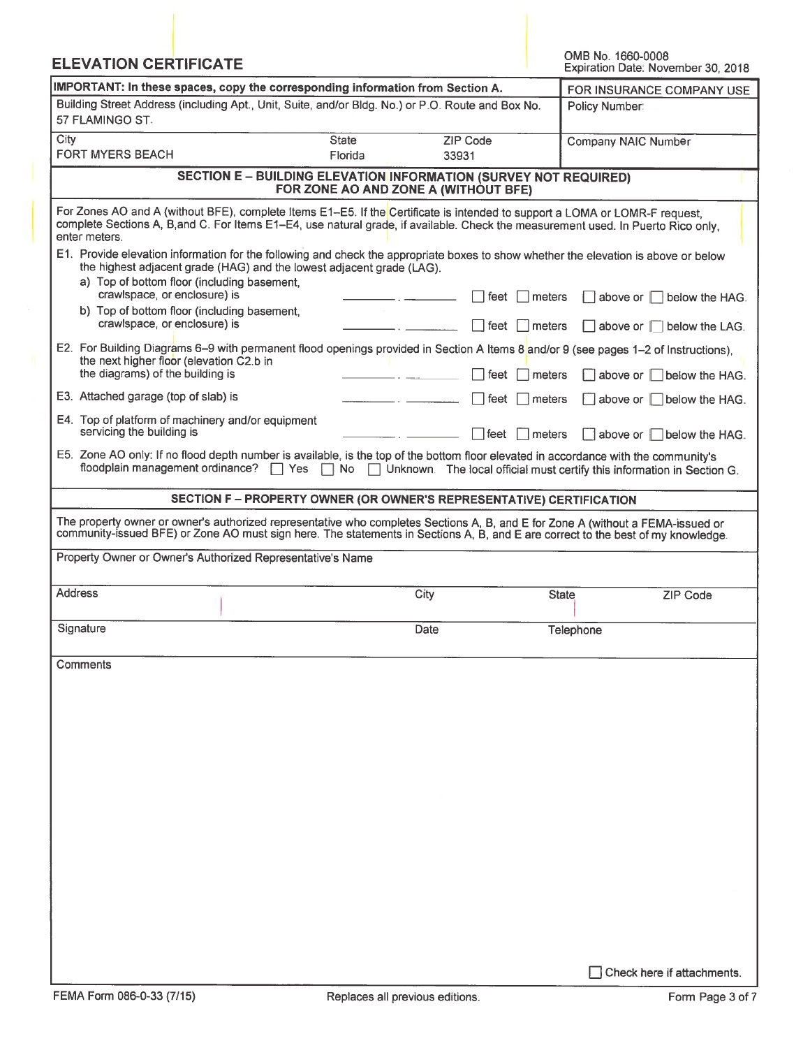| <b>ELEVATION CERTIFICATE</b>                                                                                                                                                                                                                                                      |                                                                                                                 |                          | OMB No. 1660-0008<br>Expiration Date: November 30, 2018                 |
|-----------------------------------------------------------------------------------------------------------------------------------------------------------------------------------------------------------------------------------------------------------------------------------|-----------------------------------------------------------------------------------------------------------------|--------------------------|-------------------------------------------------------------------------|
| IMPORTANT: In these spaces, copy the corresponding information from Section A.                                                                                                                                                                                                    | FOR INSURANCE COMPANY USE                                                                                       |                          |                                                                         |
| Building Street Address (including Apt., Unit, Suite, and/or Bldg. No.) or P.O. Route and Box No.<br>57 FLAMINGO ST.                                                                                                                                                              | Policy Number:                                                                                                  |                          |                                                                         |
| City<br><b>FORT MYERS BEACH</b>                                                                                                                                                                                                                                                   | <b>State</b><br>Florida                                                                                         | <b>ZIP Code</b><br>33931 | Company NAIC Number                                                     |
|                                                                                                                                                                                                                                                                                   | <b>SECTION E - BUILDING ELEVATION INFORMATION (SURVEY NOT REQUIRED)</b><br>FOR ZONE AO AND ZONE A (WITHOUT BFE) |                          |                                                                         |
| For Zones AO and A (without BFE), complete Items E1-E5. If the Certificate is intended to support a LOMA or LOMR-F request,<br>complete Sections A, B, and C. For Items E1-E4, use natural grade, if available. Check the measurement used. In Puerto Rico only,<br>enter meters. |                                                                                                                 |                          |                                                                         |
| E1. Provide elevation information for the following and check the appropriate boxes to show whether the elevation is above or below<br>the highest adjacent grade (HAG) and the lowest adjacent grade (LAG).<br>a) Top of bottom floor (including basement,                       |                                                                                                                 |                          |                                                                         |
| crawlspace, or enclosure) is<br>b) Top of bottom floor (including basement,                                                                                                                                                                                                       |                                                                                                                 | feet<br>meters           | $\Box$ above or $\Box$<br>below the HAG.                                |
| crawlspace, or enclosure) is<br>E2. For Building Diagrams 6-9 with permanent flood openings provided in Section A Items 8 and/or 9 (see pages 1-2 of Instructions),                                                                                                               |                                                                                                                 | l feet<br>meters         | $\Box$ above or $\Box$ below the LAG.                                   |
| the next higher floor (elevation C2.b in<br>the diagrams) of the building is                                                                                                                                                                                                      |                                                                                                                 | feet<br>meters           | $\Box$ above or $\Box$<br>below the HAG.                                |
| E3. Attached garage (top of slab) is                                                                                                                                                                                                                                              |                                                                                                                 | ⊺feet<br>Imeters         | above or below the HAG.                                                 |
| E4. Top of platform of machinery and/or equipment<br>servicing the building is                                                                                                                                                                                                    |                                                                                                                 | ∣feet<br>Imeters         | $\vert$ above or $\vert \vert$ below the HAG.                           |
| E5. Zone AO only: If no flood depth number is available, is the top of the bottom floor elevated in accordance with the community's<br>floodplain management ordinance?                                                                                                           | <b>Yes</b><br>$\Box$ No                                                                                         |                          | Unknown. The local official must certify this information in Section G. |
|                                                                                                                                                                                                                                                                                   | SECTION F - PROPERTY OWNER (OR OWNER'S REPRESENTATIVE) CERTIFICATION                                            |                          |                                                                         |
| The property owner or owner's authorized representative who completes Sections A, B, and E for Zone A (without a FEMA-issued or<br>community-issued BFE) or Zone AO must sign here. The statements in Sections A, B, and E are correct to the best of my knowledge.               |                                                                                                                 |                          |                                                                         |
| Property Owner or Owner's Authorized Representative's Name                                                                                                                                                                                                                        |                                                                                                                 |                          |                                                                         |
| <b>Address</b>                                                                                                                                                                                                                                                                    |                                                                                                                 | City                     | <b>State</b><br><b>ZIP Code</b>                                         |
| Signature                                                                                                                                                                                                                                                                         |                                                                                                                 | Date                     | Telephone                                                               |
| Comments                                                                                                                                                                                                                                                                          |                                                                                                                 |                          |                                                                         |
|                                                                                                                                                                                                                                                                                   |                                                                                                                 |                          |                                                                         |
|                                                                                                                                                                                                                                                                                   |                                                                                                                 |                          |                                                                         |
|                                                                                                                                                                                                                                                                                   |                                                                                                                 |                          |                                                                         |
|                                                                                                                                                                                                                                                                                   |                                                                                                                 |                          |                                                                         |
|                                                                                                                                                                                                                                                                                   |                                                                                                                 |                          |                                                                         |
|                                                                                                                                                                                                                                                                                   |                                                                                                                 |                          |                                                                         |
|                                                                                                                                                                                                                                                                                   |                                                                                                                 |                          |                                                                         |
|                                                                                                                                                                                                                                                                                   |                                                                                                                 |                          |                                                                         |
|                                                                                                                                                                                                                                                                                   |                                                                                                                 |                          |                                                                         |
|                                                                                                                                                                                                                                                                                   |                                                                                                                 |                          |                                                                         |
|                                                                                                                                                                                                                                                                                   |                                                                                                                 |                          | Check here if attachments.                                              |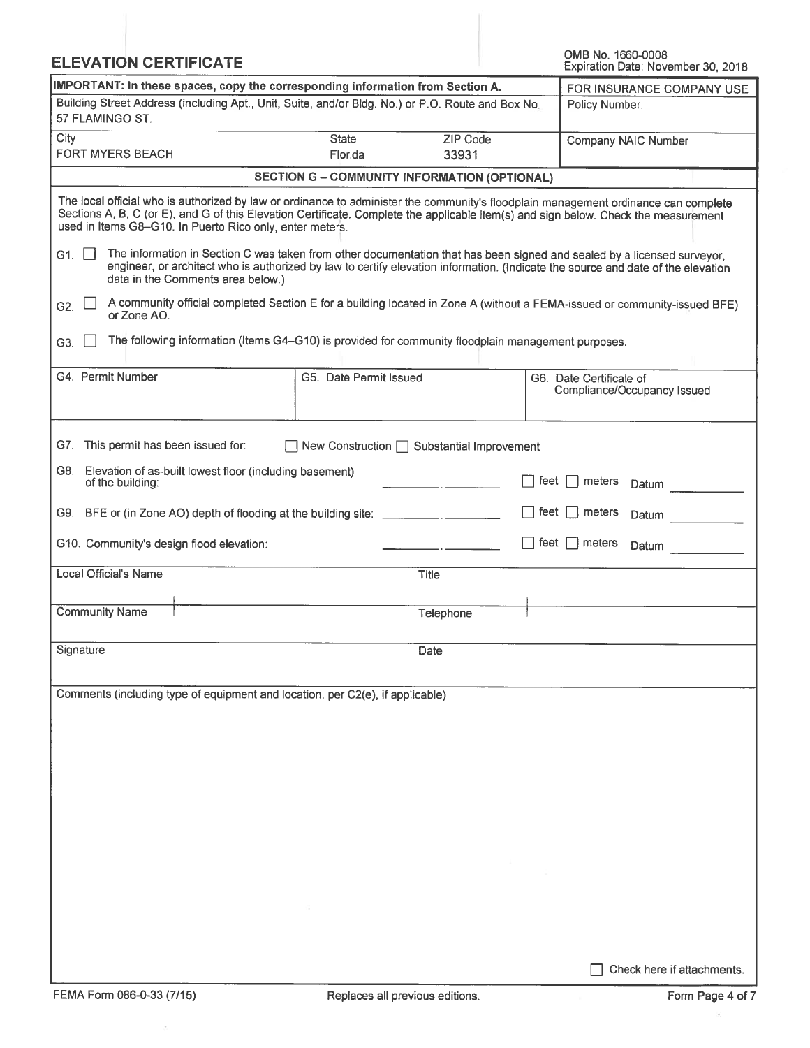| <b>ELEVATION CERTIFICATE</b>                                                                                         |                                                     |                   | OMB No. 1660-0008<br>Expiration Date: November 30, 2018                                                                                                                                                                                                                    |
|----------------------------------------------------------------------------------------------------------------------|-----------------------------------------------------|-------------------|----------------------------------------------------------------------------------------------------------------------------------------------------------------------------------------------------------------------------------------------------------------------------|
| IMPORTANT: In these spaces, copy the corresponding information from Section A.                                       | FOR INSURANCE COMPANY USE                           |                   |                                                                                                                                                                                                                                                                            |
| Building Street Address (including Apt., Unit, Suite, and/or Bldg. No.) or P.O. Route and Box No.<br>57 FLAMINGO ST. |                                                     |                   | Policy Number:                                                                                                                                                                                                                                                             |
| City<br><b>FORT MYERS BEACH</b>                                                                                      | <b>State</b><br>Florida                             | ZIP Code<br>33931 | Company NAIC Number                                                                                                                                                                                                                                                        |
|                                                                                                                      | <b>SECTION G - COMMUNITY INFORMATION (OPTIONAL)</b> |                   |                                                                                                                                                                                                                                                                            |
| used in Items G8-G10. In Puerto Rico only, enter meters.                                                             |                                                     |                   | The local official who is authorized by law or ordinance to administer the community's floodplain management ordinance can complete<br>Sections A, B, C (or E), and G of this Elevation Certificate. Complete the applicable item(s) and sign below. Check the measurement |
| G1.<br>data in the Comments area below.)                                                                             |                                                     |                   | The information in Section C was taken from other documentation that has been signed and sealed by a licensed surveyor,<br>engineer, or architect who is authorized by law to certify elevation information. (Indicate the source and date of the elevation                |
| G2.<br>or Zone AO.                                                                                                   |                                                     |                   | A community official completed Section E for a building located in Zone A (without a FEMA-issued or community-issued BFE)                                                                                                                                                  |
| The following information (Items G4-G10) is provided for community floodplain management purposes.<br>G3.            |                                                     |                   |                                                                                                                                                                                                                                                                            |
| G4. Permit Number                                                                                                    | G5. Date Permit Issued                              |                   | G6. Date Certificate of<br>Compliance/Occupancy Issued                                                                                                                                                                                                                     |
| G7. This permit has been issued for:                                                                                 | New Construction $\Box$ Substantial Improvement     |                   |                                                                                                                                                                                                                                                                            |
| Elevation of as-built lowest floor (including basement)<br>G8. I<br>of the building:                                 |                                                     |                   | feet<br>meters<br>Datum                                                                                                                                                                                                                                                    |
| G9. BFE or (in Zone AO) depth of flooding at the building site: _________________                                    |                                                     |                   | feet<br>meters<br>Datum                                                                                                                                                                                                                                                    |
| G10. Community's design flood elevation:                                                                             |                                                     |                   | feet $\Box$ meters<br>Datum                                                                                                                                                                                                                                                |
| Local Official's Name                                                                                                |                                                     | <b>Title</b>      |                                                                                                                                                                                                                                                                            |
| <b>Community Name</b>                                                                                                |                                                     | Telephone         |                                                                                                                                                                                                                                                                            |
| Signature                                                                                                            |                                                     | Date              |                                                                                                                                                                                                                                                                            |
| Comments (including type of equipment and location, per C2(e), if applicable)                                        |                                                     |                   |                                                                                                                                                                                                                                                                            |
|                                                                                                                      |                                                     |                   |                                                                                                                                                                                                                                                                            |
|                                                                                                                      |                                                     |                   |                                                                                                                                                                                                                                                                            |
|                                                                                                                      |                                                     |                   |                                                                                                                                                                                                                                                                            |
|                                                                                                                      |                                                     |                   |                                                                                                                                                                                                                                                                            |
|                                                                                                                      |                                                     |                   |                                                                                                                                                                                                                                                                            |
|                                                                                                                      |                                                     |                   |                                                                                                                                                                                                                                                                            |
|                                                                                                                      |                                                     |                   |                                                                                                                                                                                                                                                                            |
|                                                                                                                      |                                                     |                   |                                                                                                                                                                                                                                                                            |
|                                                                                                                      |                                                     |                   | Check here if attachments.                                                                                                                                                                                                                                                 |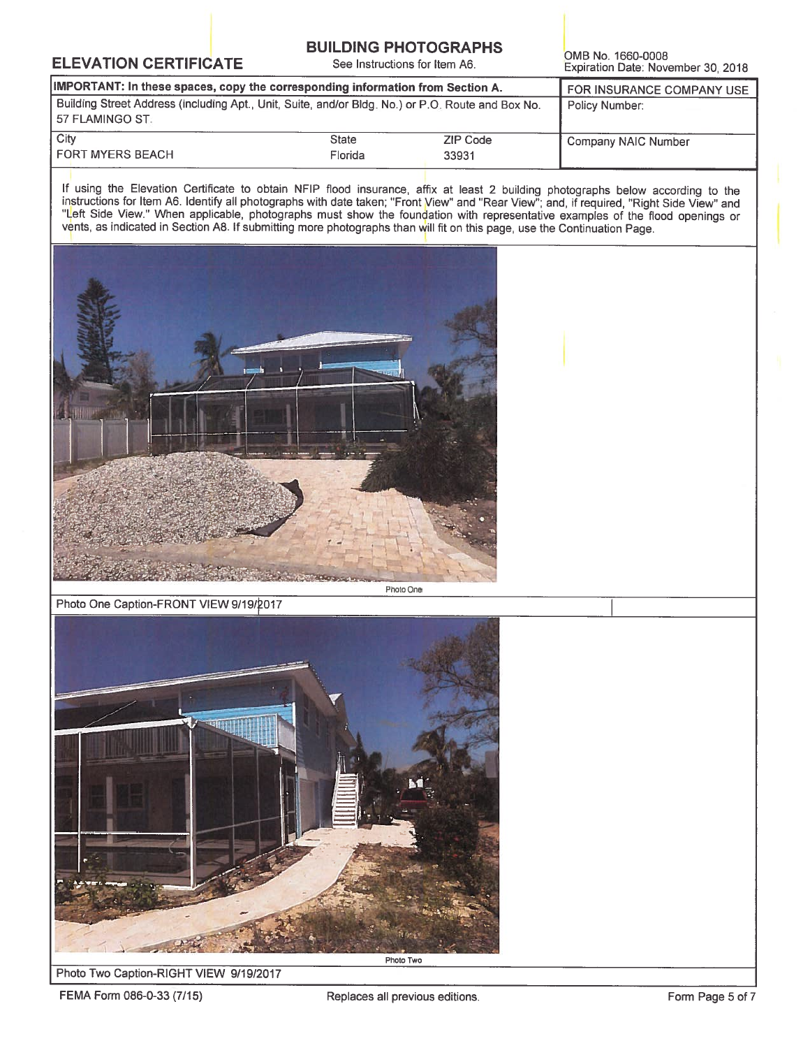### **BUILDING PHOTOGRAPHS**

See Instructions for Item A6.

OMB No. 1660-0008 Expiration Date: November 30, 2018

| IMPORTANT: In these spaces, copy the corresponding information from Section A.                                         | FOR INSURANCE COMPANY USE |          |                     |
|------------------------------------------------------------------------------------------------------------------------|---------------------------|----------|---------------------|
| Building Street Address (including Apt., Unit, Suite, and/or Bldg. No.) or P.O. Route and Box No.<br>l 57 FLAMINGO ST. | Policy Number:            |          |                     |
| City                                                                                                                   | <b>State</b>              | ZIP Code | Company NAIC Number |
| <b>FORT MYERS BEACH</b>                                                                                                | Florida                   | 33931    |                     |

If using the Elevation Certificate to obtain NFIP flood insurance, affix at least 2 building photographs below according to the instructions for Item A6. Identify all photographs with date taken; "Front View" and "Rear Vie vents, as indicated in Section A8. If submitting more photographs than will fit on this page, use the Continuation Page.



Photo One Caption-FRONT VIEW 9/19/2017



#### Photo Two Caption-RIGHT VIEW 9/19/2017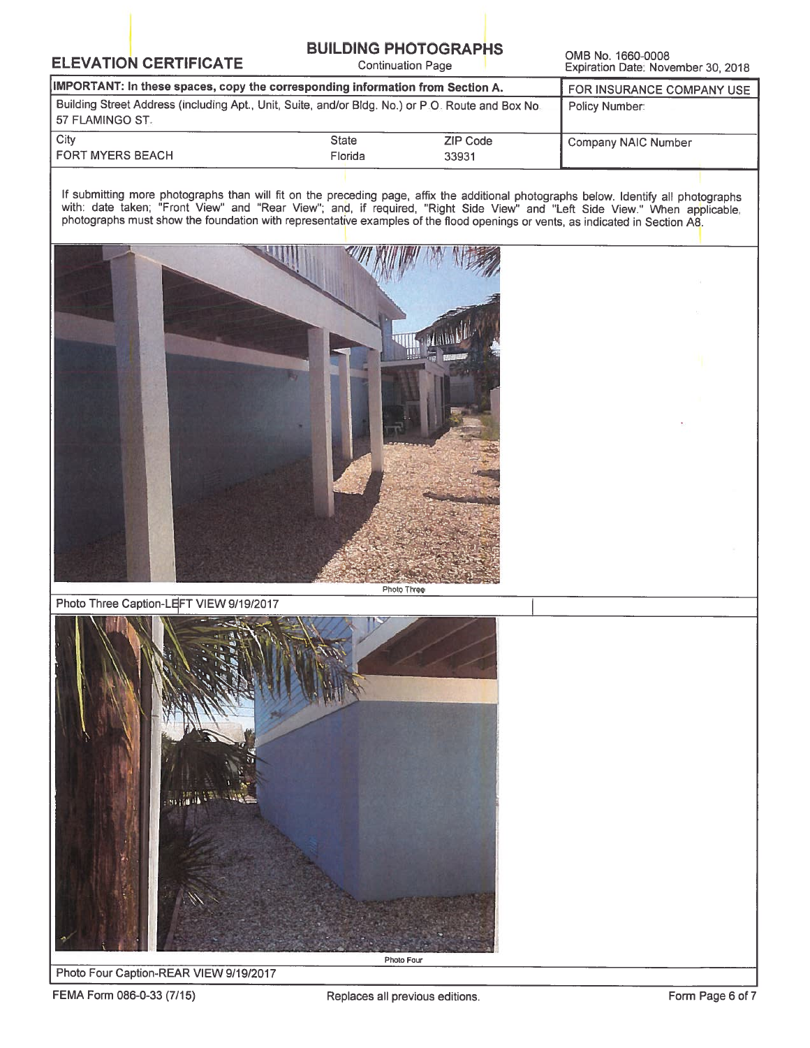## **BUILDING PHOTOGRAPHS**

**Continuation Page** 

OMB No. 1660-0008 Expiration Date: November 30, 2018

| IMPORTANT: In these spaces, copy the corresponding information from Section A.                                         | FOR INSURANCE COMPANY USE |          |                     |
|------------------------------------------------------------------------------------------------------------------------|---------------------------|----------|---------------------|
| Building Street Address (including Apt., Unit, Suite, and/or Bldg. No.) or P.O. Route and Box No.<br>  57 FLAMINGO ST. | Policy Number:            |          |                     |
| City                                                                                                                   | <b>State</b>              | ZIP Code | Company NAIC Number |
| <b>FORT MYERS BEACH</b>                                                                                                | Florida                   | 33931    |                     |

If submitting more photographs than will fit on the preceding page, affix the additional photographs below. Identify all photographs with: date taken; "Front View" and "Rear View"; and, if required, "Right Side View" and "



Photo Three Caption-LEFT VIEW 9/19/2017



Photo Four Caption-REAR VIEW 9/19/2017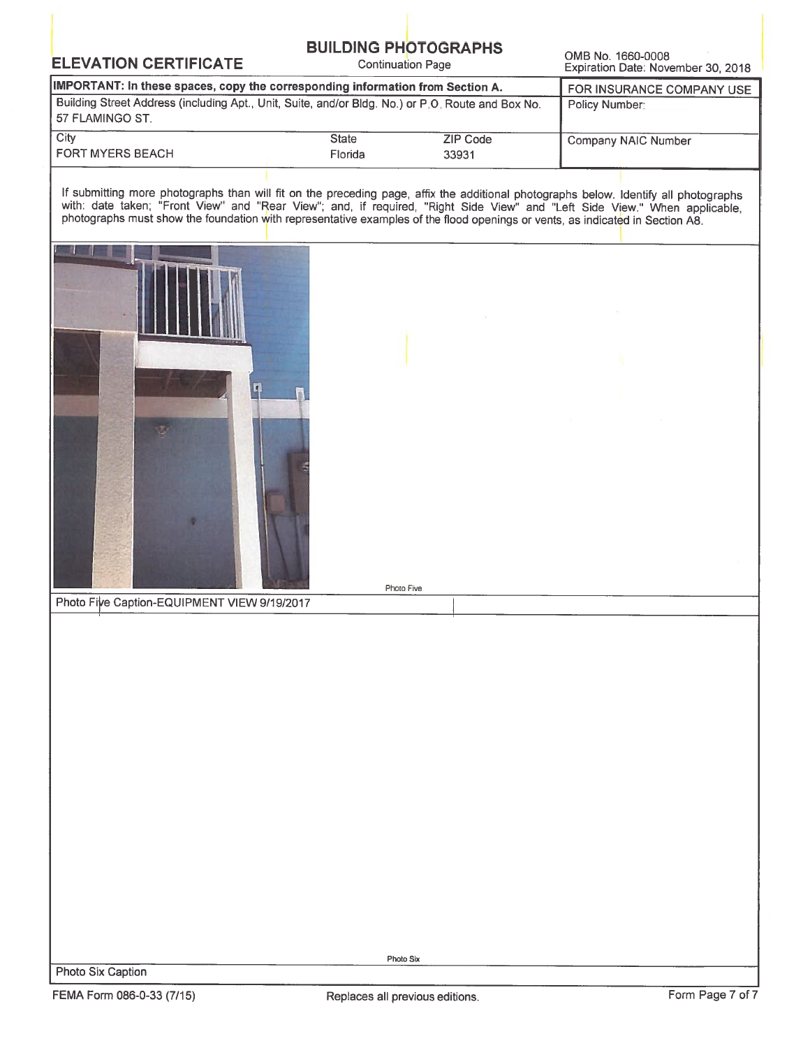## **BUILDING PHOTOGRAPHS**

**Continuation Page** 

OMB No. 1660-0008 Expiration Date: November 30, 2018

| IMPORTANT: In these spaces, copy the corresponding information from Section A.                                      | FOR INSURANCE COMPANY USE |                   |                     |
|---------------------------------------------------------------------------------------------------------------------|---------------------------|-------------------|---------------------|
| Building Street Address (including Apt., Unit, Suite, and/or Bidg. No.) or P.O. Route and Box No.<br>57 FLAMINGO ST | Policy Number             |                   |                     |
| City<br><b>FORT MYERS BEACH</b>                                                                                     | <b>State</b><br>Florida   | ZIP Code<br>33931 | Company NAIC Number |

If submitting more photographs than will fit on the preceding page, affix the additional photographs below. Identify all photographs with: date taken; "Front View" and "Rear View"; and, if required, "Right Side View" and "



Photo Six Caption

Photo Six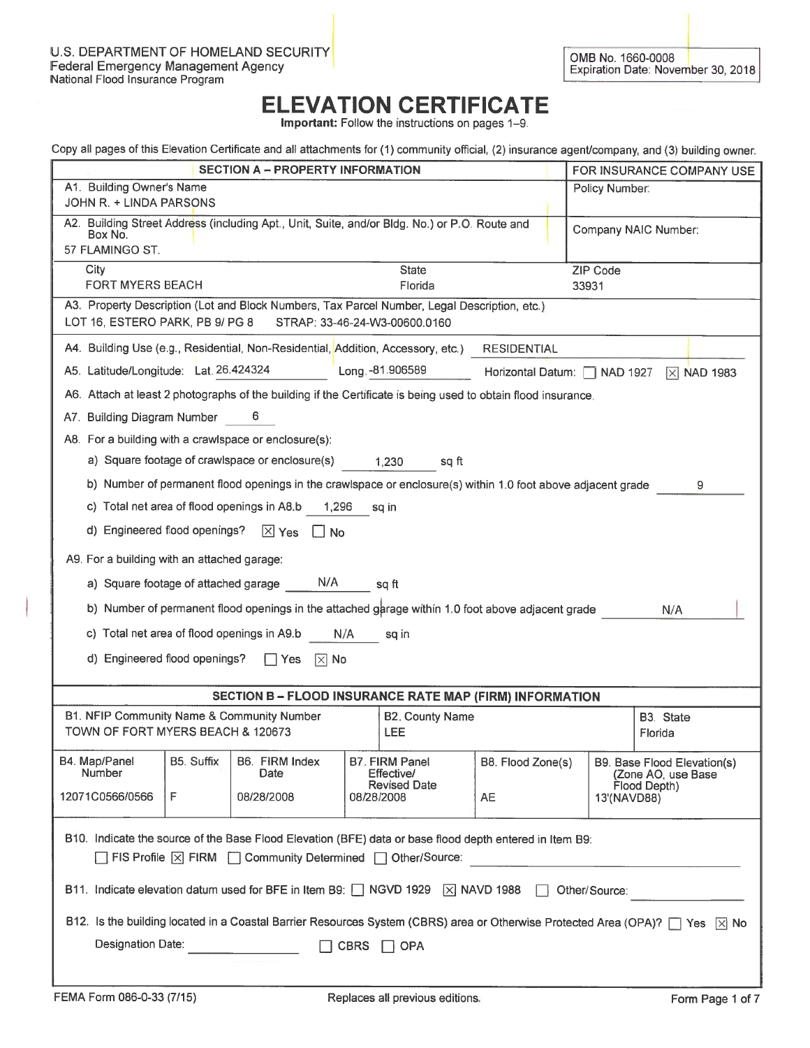Important: Follow the instructions on pages 1-9.

| Copy all pages of this Elevation Certificate and all attachments for (1) community official, (2) insurance agent/company, and (3) building owner. |                                                                                                                                |                                                            |                              |                 |                                                                   |
|---------------------------------------------------------------------------------------------------------------------------------------------------|--------------------------------------------------------------------------------------------------------------------------------|------------------------------------------------------------|------------------------------|-----------------|-------------------------------------------------------------------|
|                                                                                                                                                   | <b>SECTION A - PROPERTY INFORMATION</b>                                                                                        |                                                            |                              |                 | FOR INSURANCE COMPANY USE                                         |
| A1. Building Owner's Name<br>JOHN R. + LINDA PARSONS                                                                                              |                                                                                                                                |                                                            |                              | Policy Number:  |                                                                   |
| Box No.<br>57 FLAMINGO ST.                                                                                                                        | A2. Building Street Address (including Apt., Unit, Suite, and/or Bldg. No.) or P.O. Route and                                  |                                                            |                              |                 | Company NAIC Number:                                              |
| City                                                                                                                                              |                                                                                                                                | <b>State</b>                                               |                              | <b>ZIP Code</b> |                                                                   |
| <b>FORT MYERS BEACH</b><br>A3. Property Description (Lot and Block Numbers, Tax Parcel Number, Legal Description, etc.)                           |                                                                                                                                | Florida                                                    |                              | 33931           |                                                                   |
| LOT 16, ESTERO PARK, PB 9/ PG 8                                                                                                                   | STRAP: 33-46-24-W3-00600.0160                                                                                                  |                                                            |                              |                 |                                                                   |
| A4. Building Use (e.g., Residential, Non-Residential, Addition, Accessory, etc.)                                                                  |                                                                                                                                |                                                            | <b>RESIDENTIAL</b>           |                 |                                                                   |
| A5. Latitude/Longitude: Lat. 26.424324                                                                                                            |                                                                                                                                | Long. -81.906589                                           | Horizontal Datum:   NAD 1927 |                 | $\overline{X}$ NAD 1983                                           |
| A6. Attach at least 2 photographs of the building if the Certificate is being used to obtain flood insurance.                                     |                                                                                                                                |                                                            |                              |                 |                                                                   |
| A7. Building Diagram Number                                                                                                                       | 6                                                                                                                              |                                                            |                              |                 |                                                                   |
| A8. For a building with a crawlspace or enclosure(s):                                                                                             |                                                                                                                                |                                                            |                              |                 |                                                                   |
| a) Square footage of crawlspace or enclosure(s)                                                                                                   |                                                                                                                                | 1,230<br>sq ft                                             |                              |                 |                                                                   |
| b) Number of permanent flood openings in the crawlspace or enclosure(s) within 1.0 foot above adjacent grade                                      |                                                                                                                                |                                                            |                              |                 | 9                                                                 |
| c) Total net area of flood openings in A8.b                                                                                                       | 1,296                                                                                                                          | sq in                                                      |                              |                 |                                                                   |
| d) Engineered flood openings?                                                                                                                     | $X$ Yes<br>$\lfloor \cdot \rfloor$ No                                                                                          |                                                            |                              |                 |                                                                   |
| A9. For a building with an attached garage:                                                                                                       |                                                                                                                                |                                                            |                              |                 |                                                                   |
| a) Square footage of attached garage                                                                                                              | N/A                                                                                                                            | sq ft                                                      |                              |                 |                                                                   |
| b) Number of permanent flood openings in the attached garage within 1.0 foot above adjacent grade                                                 |                                                                                                                                |                                                            |                              |                 | N/A                                                               |
| c) Total net area of flood openings in A9.b                                                                                                       | N/A                                                                                                                            | sq in                                                      |                              |                 |                                                                   |
| d) Engineered flood openings?                                                                                                                     | l Yes<br>$ \times $ No                                                                                                         |                                                            |                              |                 |                                                                   |
|                                                                                                                                                   | SECTION B - FLOOD INSURANCE RATE MAP (FIRM) INFORMATION                                                                        |                                                            |                              |                 |                                                                   |
| B1. NFIP Community Name & Community Number<br>TOWN OF FORT MYERS BEACH & 120673                                                                   |                                                                                                                                | <b>B2. County Name</b><br><b>LEE</b>                       |                              |                 | B3. State<br>Florida                                              |
| B5. Suffix<br>B4. Map/Panel<br>Number                                                                                                             | B6. FIRM Index<br>Date                                                                                                         | B7. FIRM Panel<br><b>Effective/</b><br><b>Revised Date</b> | B8. Flood Zone(s)            |                 | B9. Base Flood Elevation(s)<br>(Zone AO, use Base<br>Flood Depth) |
| 12071C0566/0566<br>F                                                                                                                              | 08/28/2008                                                                                                                     | 08/28/2008                                                 | <b>AE</b>                    | 13'(NAVD88)     |                                                                   |
| B10. Indicate the source of the Base Flood Elevation (BFE) data or base flood depth entered in Item B9:                                           |                                                                                                                                |                                                            |                              |                 |                                                                   |
| □ FIS Profile   X FIRM   Community Determined   Other/Source:                                                                                     |                                                                                                                                |                                                            |                              |                 |                                                                   |
| B11. Indicate elevation datum used for BFE in Item B9: $\Box$ NGVD 1929 $\Box$ NAVD 1988                                                          |                                                                                                                                |                                                            |                              | Other/Source:   |                                                                   |
|                                                                                                                                                   | B12. Is the building located in a Coastal Barrier Resources System (CBRS) area or Otherwise Protected Area (OPA)?   Yes   X No |                                                            |                              |                 |                                                                   |
| Designation Date:                                                                                                                                 | <b>CBRS</b>                                                                                                                    | <b>OPA</b>                                                 |                              |                 |                                                                   |
|                                                                                                                                                   |                                                                                                                                |                                                            |                              |                 |                                                                   |
|                                                                                                                                                   |                                                                                                                                |                                                            |                              |                 |                                                                   |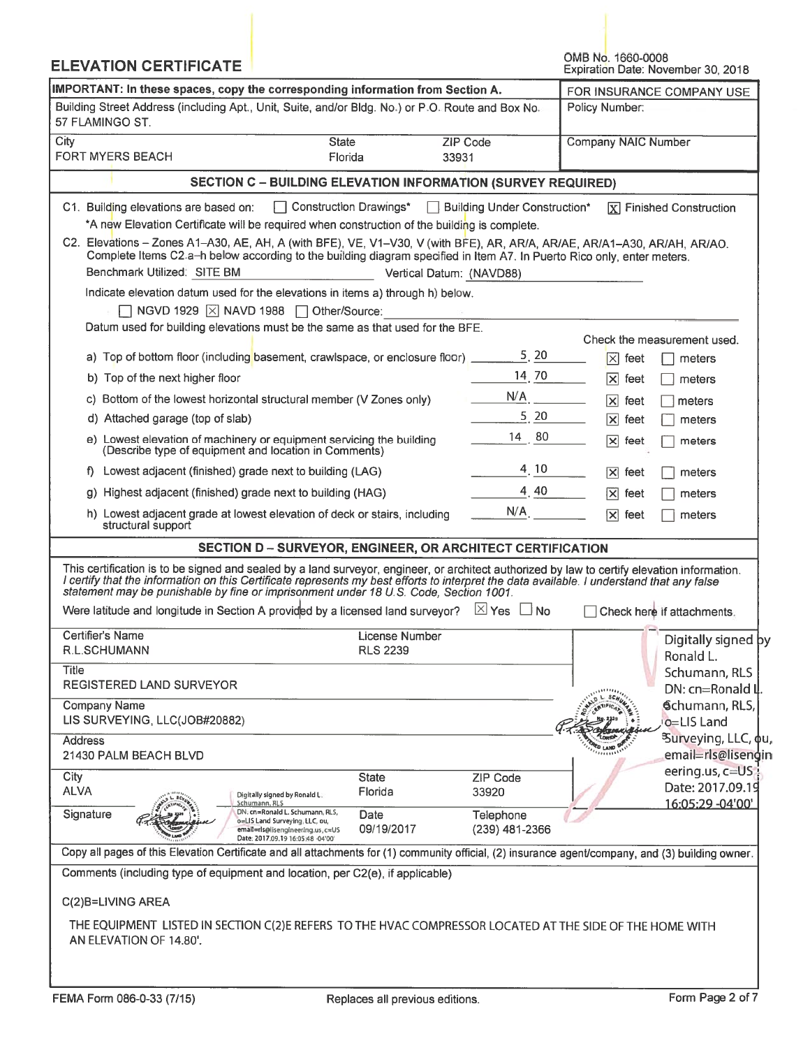| <b>ELEVATION CERTIFICATE</b>                                                                                                                                                                                                                                                                                                                                                        |                                                                                                                                                                   |                              |          | OMB No. 1660-0008                                | Expiration Date: November 30, 2018   |
|-------------------------------------------------------------------------------------------------------------------------------------------------------------------------------------------------------------------------------------------------------------------------------------------------------------------------------------------------------------------------------------|-------------------------------------------------------------------------------------------------------------------------------------------------------------------|------------------------------|----------|--------------------------------------------------|--------------------------------------|
| IMPORTANT: In these spaces, copy the corresponding information from Section A.                                                                                                                                                                                                                                                                                                      |                                                                                                                                                                   |                              |          |                                                  | FOR INSURANCE COMPANY USE            |
| Building Street Address (including Apt., Unit, Suite, and/or Bldg. No.) or P.O. Route and Box No.<br>Policy Number:<br>57 FLAMINGO ST.                                                                                                                                                                                                                                              |                                                                                                                                                                   |                              |          |                                                  |                                      |
| City<br><b>FORT MYERS BEACH</b>                                                                                                                                                                                                                                                                                                                                                     | <b>State</b><br>Florida                                                                                                                                           | <b>ZIP Code</b><br>33931     |          | <b>Company NAIC Number</b>                       |                                      |
|                                                                                                                                                                                                                                                                                                                                                                                     | <b>SECTION C - BUILDING ELEVATION INFORMATION (SURVEY REQUIRED)</b>                                                                                               |                              |          |                                                  |                                      |
| C1. Building elevations are based on:                                                                                                                                                                                                                                                                                                                                               | Construction Drawings*                                                                                                                                            | Building Under Construction* |          |                                                  | $\overline{X}$ Finished Construction |
|                                                                                                                                                                                                                                                                                                                                                                                     | *A new Elevation Certificate will be required when construction of the building is complete.                                                                      |                              |          |                                                  |                                      |
| C2. Elevations - Zones A1-A30, AE, AH, A (with BFE), VE, V1-V30, V (with BFE), AR, AR/A, AR/AE, AR/A1-A30, AR/AH, AR/AO.                                                                                                                                                                                                                                                            | Complete Items C2.a-h below according to the building diagram specified in Item A7. In Puerto Rico only, enter meters.                                            |                              |          |                                                  |                                      |
| Benchmark Utilized: SITE BM                                                                                                                                                                                                                                                                                                                                                         |                                                                                                                                                                   | Vertical Datum: (NAVD88)     |          |                                                  |                                      |
|                                                                                                                                                                                                                                                                                                                                                                                     | Indicate elevation datum used for the elevations in items a) through h) below.                                                                                    |                              |          |                                                  |                                      |
|                                                                                                                                                                                                                                                                                                                                                                                     | NGVD 1929   X NAVD 1988   Other/Source:                                                                                                                           |                              |          |                                                  |                                      |
|                                                                                                                                                                                                                                                                                                                                                                                     | Datum used for building elevations must be the same as that used for the BFE.                                                                                     |                              |          |                                                  | Check the measurement used.          |
|                                                                                                                                                                                                                                                                                                                                                                                     | a) Top of bottom floor (including basement, crawlspace, or enclosure floor) _                                                                                     |                              | 5, 20    | $ \mathsf{x} $<br>feet                           | meters                               |
| b) Top of the next higher floor                                                                                                                                                                                                                                                                                                                                                     |                                                                                                                                                                   |                              | 14 70    | $ \mathsf{x} $<br>feet                           | meters                               |
|                                                                                                                                                                                                                                                                                                                                                                                     | c) Bottom of the lowest horizontal structural member (V Zones only)                                                                                               | N/A                          |          |                                                  |                                      |
| d) Attached garage (top of slab)                                                                                                                                                                                                                                                                                                                                                    |                                                                                                                                                                   |                              | $5 \ 20$ | $ \mathsf{x} $<br>feet<br>$ \mathsf{x} $<br>feet | meters<br>meters                     |
| (Describe type of equipment and location in Comments)                                                                                                                                                                                                                                                                                                                               | e) Lowest elevation of machinery or equipment servicing the building                                                                                              | 14 80                        |          | $\overline{\mathsf{x}}$<br>feet                  | meters                               |
| f) Lowest adjacent (finished) grade next to building (LAG)                                                                                                                                                                                                                                                                                                                          |                                                                                                                                                                   |                              | 4, 10    | $ \mathsf{x} $<br>feet                           | meters                               |
| g) Highest adjacent (finished) grade next to building (HAG)                                                                                                                                                                                                                                                                                                                         |                                                                                                                                                                   |                              | 4, 40    | $ \mathsf{x} $<br>feet                           | meters                               |
|                                                                                                                                                                                                                                                                                                                                                                                     |                                                                                                                                                                   | N/A                          |          |                                                  |                                      |
| structural support                                                                                                                                                                                                                                                                                                                                                                  | h) Lowest adjacent grade at lowest elevation of deck or stairs, including                                                                                         |                              |          | $ \mathsf{x} $<br>feet                           | meters                               |
|                                                                                                                                                                                                                                                                                                                                                                                     | SECTION D - SURVEYOR, ENGINEER, OR ARCHITECT CERTIFICATION                                                                                                        |                              |          |                                                  |                                      |
| This certification is to be signed and sealed by a land surveyor, engineer, or architect authorized by law to certify elevation information.<br>I certify that the information on this Certificate represents my best efforts to interpret the data available. I understand that any false<br>statement may be punishable by fine or imprisonment under 18 U.S. Code, Section 1001. |                                                                                                                                                                   |                              |          |                                                  |                                      |
| Were latitude and longitude in Section A provided by a licensed land surveyor? $\Box$ Yes $\Box$ No                                                                                                                                                                                                                                                                                 |                                                                                                                                                                   |                              |          |                                                  | Check here if attachments.           |
| Certifier's Name<br>R.L.SCHUMANN                                                                                                                                                                                                                                                                                                                                                    | License Number<br><b>RLS 2239</b>                                                                                                                                 |                              |          |                                                  | Digitally signed by                  |
| <b>Title</b>                                                                                                                                                                                                                                                                                                                                                                        |                                                                                                                                                                   |                              |          |                                                  | Ronald L.                            |
| <b>REGISTERED LAND SURVEYOR</b>                                                                                                                                                                                                                                                                                                                                                     |                                                                                                                                                                   |                              |          |                                                  | Schumann, RLS<br>DN: cn=Ronald II    |
| <b>Company Name</b>                                                                                                                                                                                                                                                                                                                                                                 |                                                                                                                                                                   |                              |          |                                                  | Schumann, RLS,                       |
| LIS SURVEYING, LLC(JOB#20882)                                                                                                                                                                                                                                                                                                                                                       |                                                                                                                                                                   |                              |          |                                                  | o=LIS Land                           |
| <b>Address</b>                                                                                                                                                                                                                                                                                                                                                                      |                                                                                                                                                                   |                              |          |                                                  | <sup>3</sup> Surveying, LLC, φu,     |
| 21430 PALM BEACH BLVD                                                                                                                                                                                                                                                                                                                                                               |                                                                                                                                                                   |                              |          |                                                  | email=rls@lisengin                   |
| City                                                                                                                                                                                                                                                                                                                                                                                | <b>State</b>                                                                                                                                                      | <b>ZIP Code</b>              |          |                                                  | eering.us, c=US<br>Date: 2017.09.19  |
| <b>ALVA</b>                                                                                                                                                                                                                                                                                                                                                                         | Florida<br>Digitally signed by Ronald L.<br>Schumann, RLS                                                                                                         | 33920                        |          |                                                  | 16:05:29 -04'00'                     |
| Signature                                                                                                                                                                                                                                                                                                                                                                           | DN. cn=Ronald L. Schumann, RLS,<br>Date<br>o=LIS Land Surveying, LLC, ou,<br>09/19/2017<br>email=rls@lisengineering.us, c=US<br>Date: 2017.09.19 16:05:48 -04'00' | Telephone<br>(239) 481-2366  |          |                                                  |                                      |
| Copy all pages of this Elevation Certificate and all attachments for (1) community official, (2) insurance agent/company, and (3) building owner.                                                                                                                                                                                                                                   |                                                                                                                                                                   |                              |          |                                                  |                                      |
| Comments (including type of equipment and location, per C2(e), if applicable)                                                                                                                                                                                                                                                                                                       |                                                                                                                                                                   |                              |          |                                                  |                                      |
| C(2)B=LIVING AREA                                                                                                                                                                                                                                                                                                                                                                   |                                                                                                                                                                   |                              |          |                                                  |                                      |
| THE EQUIPMENT LISTED IN SECTION C(2)E REFERS TO THE HVAC COMPRESSOR LOCATED AT THE SIDE OF THE HOME WITH<br>AN ELEVATION OF 14.80'.                                                                                                                                                                                                                                                 |                                                                                                                                                                   |                              |          |                                                  |                                      |
|                                                                                                                                                                                                                                                                                                                                                                                     |                                                                                                                                                                   |                              |          |                                                  |                                      |
|                                                                                                                                                                                                                                                                                                                                                                                     |                                                                                                                                                                   |                              |          |                                                  |                                      |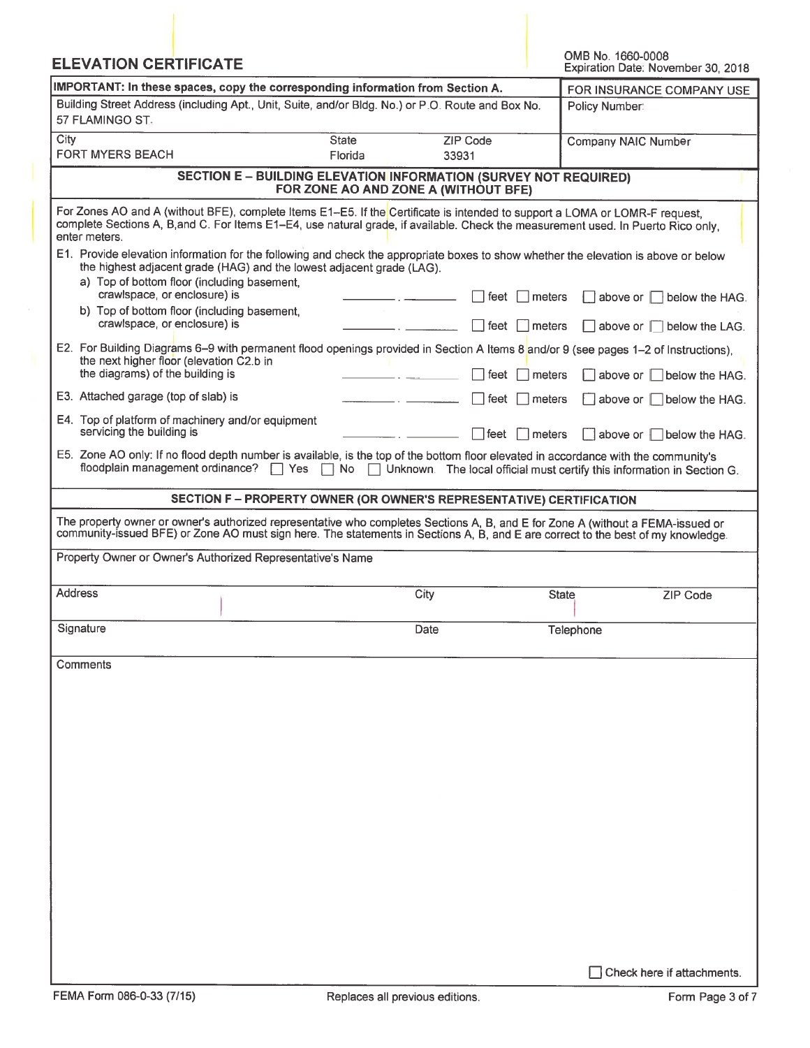| <b>ELEVATION CERTIFICATE</b>                                                                                                                                                                                                                                                      |                                                                                                                 |                          | OMB No. 1660-0008<br>Expiration Date: November 30, 2018                 |
|-----------------------------------------------------------------------------------------------------------------------------------------------------------------------------------------------------------------------------------------------------------------------------------|-----------------------------------------------------------------------------------------------------------------|--------------------------|-------------------------------------------------------------------------|
| IMPORTANT: In these spaces, copy the corresponding information from Section A.                                                                                                                                                                                                    | FOR INSURANCE COMPANY USE                                                                                       |                          |                                                                         |
| Building Street Address (including Apt., Unit, Suite, and/or Bldg. No.) or P.O. Route and Box No.<br>57 FLAMINGO ST.                                                                                                                                                              | Policy Number:                                                                                                  |                          |                                                                         |
| City<br><b>FORT MYERS BEACH</b>                                                                                                                                                                                                                                                   | <b>State</b><br>Florida                                                                                         | <b>ZIP Code</b><br>33931 | Company NAIC Number                                                     |
|                                                                                                                                                                                                                                                                                   | <b>SECTION E - BUILDING ELEVATION INFORMATION (SURVEY NOT REQUIRED)</b><br>FOR ZONE AO AND ZONE A (WITHOUT BFE) |                          |                                                                         |
| For Zones AO and A (without BFE), complete Items E1-E5. If the Certificate is intended to support a LOMA or LOMR-F request,<br>complete Sections A, B, and C. For Items E1-E4, use natural grade, if available. Check the measurement used. In Puerto Rico only,<br>enter meters. |                                                                                                                 |                          |                                                                         |
| E1. Provide elevation information for the following and check the appropriate boxes to show whether the elevation is above or below<br>the highest adjacent grade (HAG) and the lowest adjacent grade (LAG).<br>a) Top of bottom floor (including basement,                       |                                                                                                                 |                          |                                                                         |
| crawlspace, or enclosure) is<br>b) Top of bottom floor (including basement,                                                                                                                                                                                                       |                                                                                                                 | feet<br>meters           | $\Box$ above or $\Box$<br>below the HAG.                                |
| crawlspace, or enclosure) is<br>E2. For Building Diagrams 6-9 with permanent flood openings provided in Section A Items 8 and/or 9 (see pages 1-2 of Instructions),                                                                                                               |                                                                                                                 | l feet<br>meters         | $\Box$ above or $\Box$ below the LAG.                                   |
| the next higher floor (elevation C2.b in<br>the diagrams) of the building is                                                                                                                                                                                                      |                                                                                                                 | feet<br>meters           | $\Box$ above or $\Box$<br>below the HAG.                                |
| E3. Attached garage (top of slab) is                                                                                                                                                                                                                                              |                                                                                                                 | ⊺feet<br>Imeters         | above or below the HAG.                                                 |
| E4. Top of platform of machinery and/or equipment<br>servicing the building is                                                                                                                                                                                                    |                                                                                                                 | ∣feet<br>Imeters         | $\vert$ above or $\vert \vert$ below the HAG.                           |
| E5. Zone AO only: If no flood depth number is available, is the top of the bottom floor elevated in accordance with the community's<br>floodplain management ordinance?                                                                                                           | <b>Yes</b><br>$\Box$ No                                                                                         |                          | Unknown. The local official must certify this information in Section G. |
|                                                                                                                                                                                                                                                                                   | SECTION F - PROPERTY OWNER (OR OWNER'S REPRESENTATIVE) CERTIFICATION                                            |                          |                                                                         |
| The property owner or owner's authorized representative who completes Sections A, B, and E for Zone A (without a FEMA-issued or<br>community-issued BFE) or Zone AO must sign here. The statements in Sections A, B, and E are correct to the best of my knowledge.               |                                                                                                                 |                          |                                                                         |
| Property Owner or Owner's Authorized Representative's Name                                                                                                                                                                                                                        |                                                                                                                 |                          |                                                                         |
| <b>Address</b>                                                                                                                                                                                                                                                                    |                                                                                                                 | City                     | <b>State</b><br><b>ZIP Code</b>                                         |
| Signature                                                                                                                                                                                                                                                                         |                                                                                                                 | Date                     | Telephone                                                               |
| Comments                                                                                                                                                                                                                                                                          |                                                                                                                 |                          |                                                                         |
|                                                                                                                                                                                                                                                                                   |                                                                                                                 |                          |                                                                         |
|                                                                                                                                                                                                                                                                                   |                                                                                                                 |                          |                                                                         |
|                                                                                                                                                                                                                                                                                   |                                                                                                                 |                          |                                                                         |
|                                                                                                                                                                                                                                                                                   |                                                                                                                 |                          |                                                                         |
|                                                                                                                                                                                                                                                                                   |                                                                                                                 |                          |                                                                         |
|                                                                                                                                                                                                                                                                                   |                                                                                                                 |                          |                                                                         |
|                                                                                                                                                                                                                                                                                   |                                                                                                                 |                          |                                                                         |
|                                                                                                                                                                                                                                                                                   |                                                                                                                 |                          |                                                                         |
|                                                                                                                                                                                                                                                                                   |                                                                                                                 |                          |                                                                         |
|                                                                                                                                                                                                                                                                                   |                                                                                                                 |                          |                                                                         |
|                                                                                                                                                                                                                                                                                   |                                                                                                                 |                          | Check here if attachments.                                              |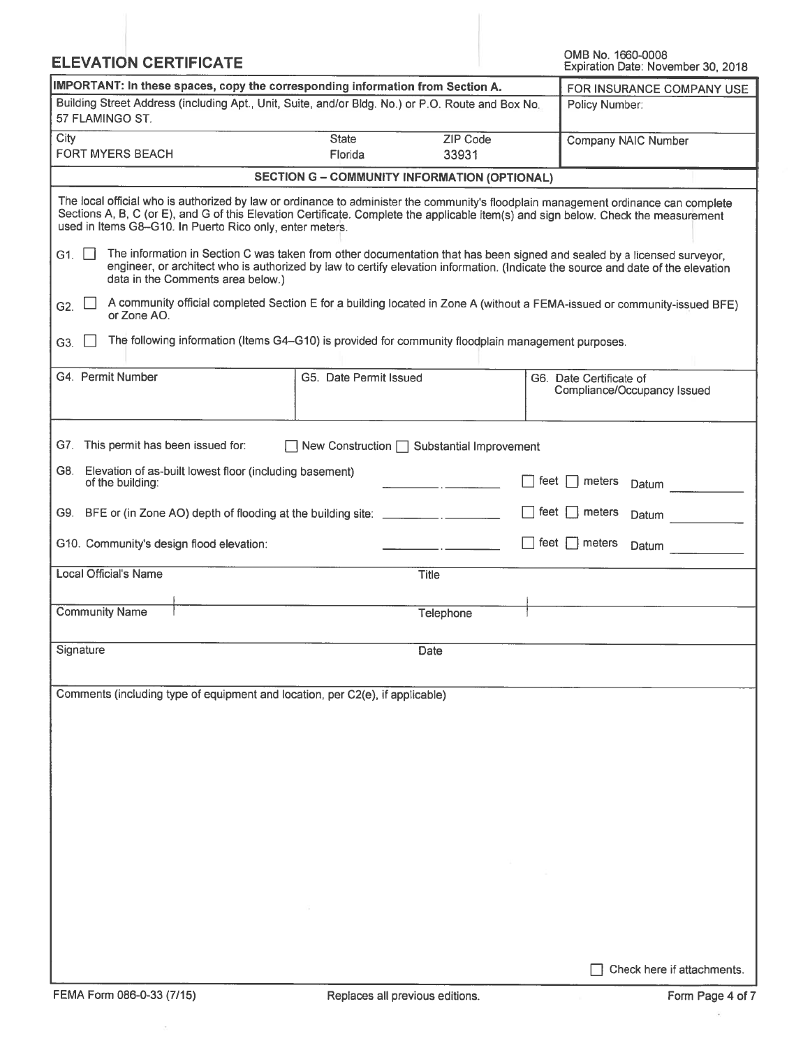| <b>ELEVATION CERTIFICATE</b>                                                                                         |                                                     |                   | OMB No. 1660-0008<br>Expiration Date: November 30, 2018                                                                                                                                                                                                                    |
|----------------------------------------------------------------------------------------------------------------------|-----------------------------------------------------|-------------------|----------------------------------------------------------------------------------------------------------------------------------------------------------------------------------------------------------------------------------------------------------------------------|
| IMPORTANT: In these spaces, copy the corresponding information from Section A.                                       | FOR INSURANCE COMPANY USE                           |                   |                                                                                                                                                                                                                                                                            |
| Building Street Address (including Apt., Unit, Suite, and/or Bldg. No.) or P.O. Route and Box No.<br>57 FLAMINGO ST. |                                                     |                   | Policy Number:                                                                                                                                                                                                                                                             |
| City<br><b>FORT MYERS BEACH</b>                                                                                      | <b>State</b><br>Florida                             | ZIP Code<br>33931 | Company NAIC Number                                                                                                                                                                                                                                                        |
|                                                                                                                      | <b>SECTION G - COMMUNITY INFORMATION (OPTIONAL)</b> |                   |                                                                                                                                                                                                                                                                            |
| used in Items G8-G10. In Puerto Rico only, enter meters.                                                             |                                                     |                   | The local official who is authorized by law or ordinance to administer the community's floodplain management ordinance can complete<br>Sections A, B, C (or E), and G of this Elevation Certificate. Complete the applicable item(s) and sign below. Check the measurement |
| G1.<br>data in the Comments area below.)                                                                             |                                                     |                   | The information in Section C was taken from other documentation that has been signed and sealed by a licensed surveyor,<br>engineer, or architect who is authorized by law to certify elevation information. (Indicate the source and date of the elevation                |
| G2.<br>or Zone AO.                                                                                                   |                                                     |                   | A community official completed Section E for a building located in Zone A (without a FEMA-issued or community-issued BFE)                                                                                                                                                  |
| The following information (Items G4-G10) is provided for community floodplain management purposes.<br>G3.            |                                                     |                   |                                                                                                                                                                                                                                                                            |
| G4. Permit Number                                                                                                    | G5. Date Permit Issued                              |                   | G6. Date Certificate of<br>Compliance/Occupancy Issued                                                                                                                                                                                                                     |
| G7. This permit has been issued for:                                                                                 | New Construction $\Box$ Substantial Improvement     |                   |                                                                                                                                                                                                                                                                            |
| Elevation of as-built lowest floor (including basement)<br>G8. I<br>of the building:                                 |                                                     |                   | feet<br>meters<br>Datum                                                                                                                                                                                                                                                    |
| G9. BFE or (in Zone AO) depth of flooding at the building site: _________________                                    |                                                     |                   | feet<br>meters<br>Datum                                                                                                                                                                                                                                                    |
| G10. Community's design flood elevation:                                                                             |                                                     |                   | feet $\Box$ meters<br>Datum                                                                                                                                                                                                                                                |
| Local Official's Name                                                                                                |                                                     | <b>Title</b>      |                                                                                                                                                                                                                                                                            |
| <b>Community Name</b>                                                                                                |                                                     | Telephone         |                                                                                                                                                                                                                                                                            |
| Signature                                                                                                            |                                                     | Date              |                                                                                                                                                                                                                                                                            |
| Comments (including type of equipment and location, per C2(e), if applicable)                                        |                                                     |                   |                                                                                                                                                                                                                                                                            |
|                                                                                                                      |                                                     |                   |                                                                                                                                                                                                                                                                            |
|                                                                                                                      |                                                     |                   |                                                                                                                                                                                                                                                                            |
|                                                                                                                      |                                                     |                   |                                                                                                                                                                                                                                                                            |
|                                                                                                                      |                                                     |                   |                                                                                                                                                                                                                                                                            |
|                                                                                                                      |                                                     |                   |                                                                                                                                                                                                                                                                            |
|                                                                                                                      |                                                     |                   |                                                                                                                                                                                                                                                                            |
|                                                                                                                      |                                                     |                   |                                                                                                                                                                                                                                                                            |
|                                                                                                                      |                                                     |                   |                                                                                                                                                                                                                                                                            |
|                                                                                                                      |                                                     |                   | Check here if attachments.                                                                                                                                                                                                                                                 |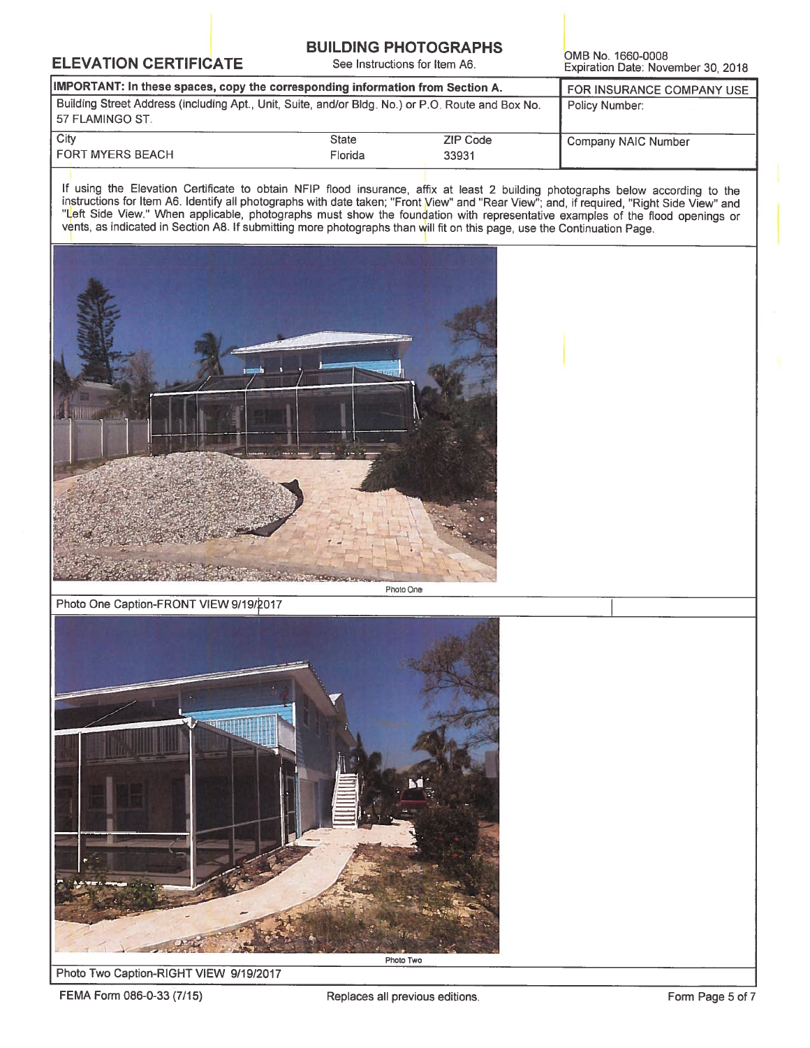### **BUILDING PHOTOGRAPHS**

See Instructions for Item A6.

OMB No. 1660-0008 Expiration Date: November 30, 2018

| IMPORTANT: In these spaces, copy the corresponding information from Section A.                                         | FOR INSURANCE COMPANY USE |          |                     |
|------------------------------------------------------------------------------------------------------------------------|---------------------------|----------|---------------------|
| Building Street Address (including Apt., Unit, Suite, and/or Bldg. No.) or P.O. Route and Box No.<br>l 57 FLAMINGO ST. | Policy Number:            |          |                     |
| City                                                                                                                   | <b>State</b>              | ZIP Code | Company NAIC Number |
| <b>FORT MYERS BEACH</b>                                                                                                | Florida                   | 33931    |                     |

If using the Elevation Certificate to obtain NFIP flood insurance, affix at least 2 building photographs below according to the instructions for Item A6. Identify all photographs with date taken; "Front View" and "Rear Vie vents, as indicated in Section A8. If submitting more photographs than will fit on this page, use the Continuation Page.



Photo One Caption-FRONT VIEW 9/19/2017



#### Photo Two Caption-RIGHT VIEW 9/19/2017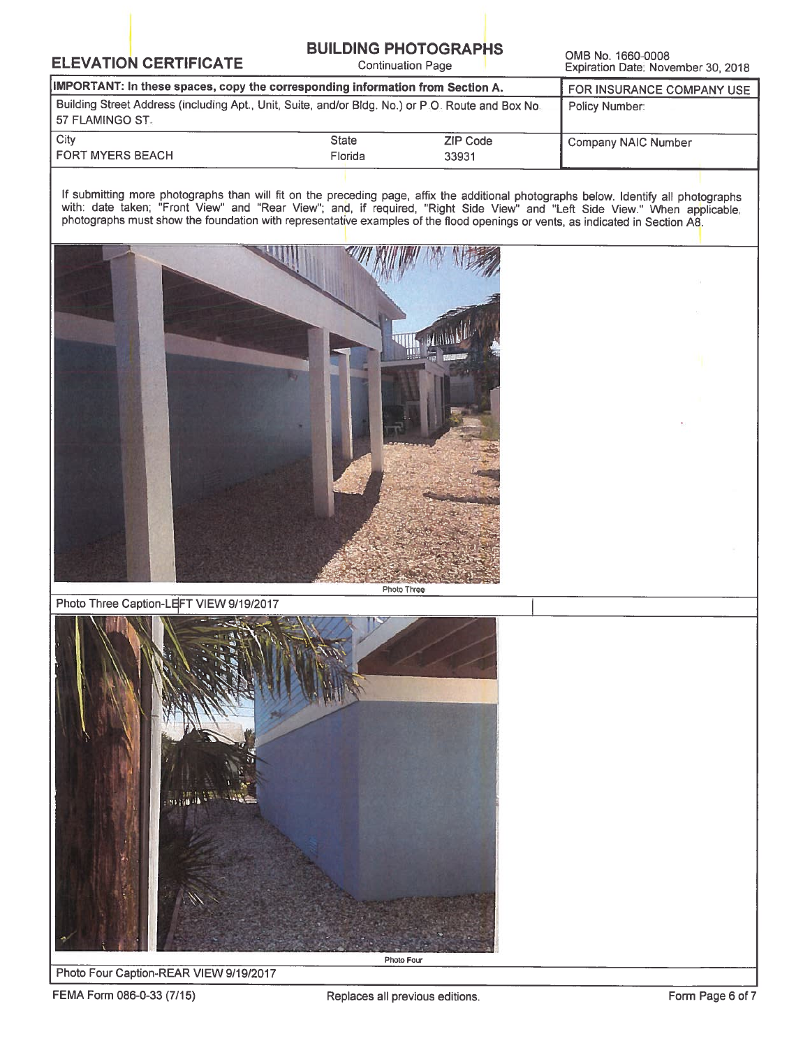## **BUILDING PHOTOGRAPHS**

**Continuation Page** 

OMB No. 1660-0008 Expiration Date: November 30, 2018

| IMPORTANT: In these spaces, copy the corresponding information from Section A.                                       | FOR INSURANCE COMPANY USE<br>Policy Number: |          |                     |
|----------------------------------------------------------------------------------------------------------------------|---------------------------------------------|----------|---------------------|
| Building Street Address (including Apt., Unit, Suite, and/or Bldg. No.) or P.O. Route and Box No.<br>57 FLAMINGO ST. |                                             |          |                     |
| City                                                                                                                 | <b>State</b>                                | ZIP Code | Company NAIC Number |
| <b>FORT MYERS BEACH</b>                                                                                              | Florida                                     | 33931    |                     |

If submitting more photographs than will fit on the preceding page, affix the additional photographs below. Identify all photographs with: date taken; "Front View" and "Rear View"; and, if required, "Right Side View" and "



Photo Three Caption-LEFT VIEW 9/19/2017



Photo Four Caption-REAR VIEW 9/19/2017